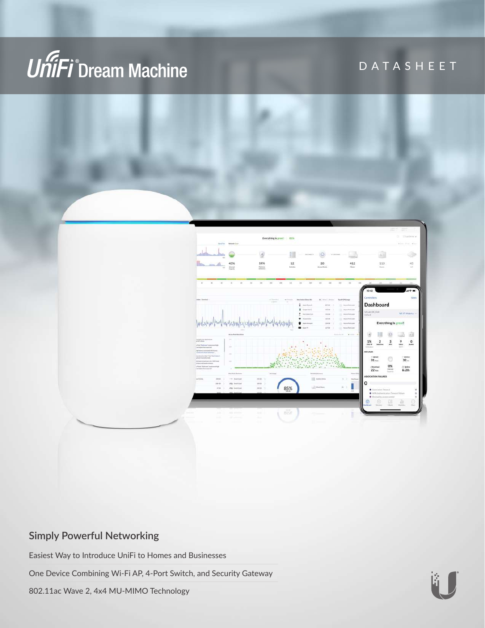

DATASHEET



### **Simply Powerful Networking**

Easiest Way to Introduce UniFi to Homes and Businesses

One Device Combining Wi-Fi AP, 4-Port Switch, and Security Gateway

802.11ac Wave 2, 4x4 MU-MIMO Technology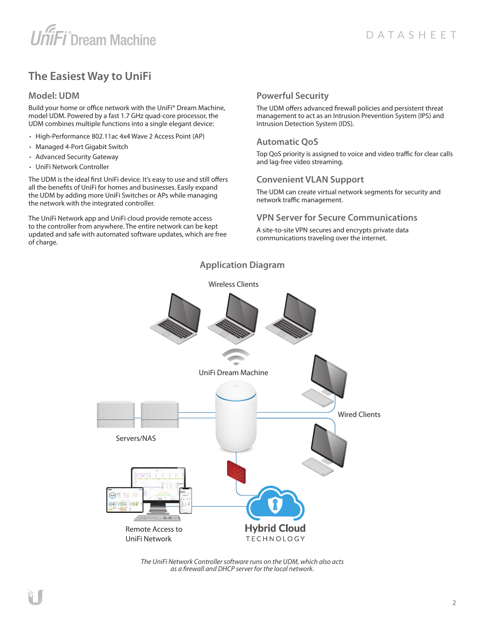## **The Easiest Way to UniFi**

#### **Model: UDM**

Build your home or office network with the UniFi® Dream Machine, model UDM. Powered by a fast 1.7 GHz quad‑core processor, the UDM combines multiple functions into a single elegant device:

- High-Performance 802.11ac 4x4 Wave 2 Access Point (AP)
- Managed 4-Port Gigabit Switch
- Advanced Security Gateway
- UniFi Network Controller

The UDM is the ideal first UniFi device. It's easy to use and still offers all the benefits of UniFi for homes and businesses. Easily expand the UDM by adding more UniFi Switches or APs while managing the network with the integrated controller.

The UniFi Network app and UniFi cloud provide remote access to the controller from anywhere. The entire network can be kept updated and safe with automated software updates, which are free of charge.

#### **Powerful Security**

The UDM offers advanced firewall policies and persistent threat management to act as an Intrusion Prevention System (IPS) and Intrusion Detection System (IDS).

#### **Automatic QoS**

Top QoS priority is assigned to voice and video traffic for clear calls and lag‑free video streaming.

#### **Convenient VLAN Support**

The UDM can create virtual network segments for security and network traffic management.

#### **VPN Server for Secure Communications**

A site-to-site VPN secures and encrypts private data communications traveling over the internet.

#### **Application Diagram**



*The UniFi Network Controller software runs on the UDM, which also acts as a firewall and DHCP server for the local network.*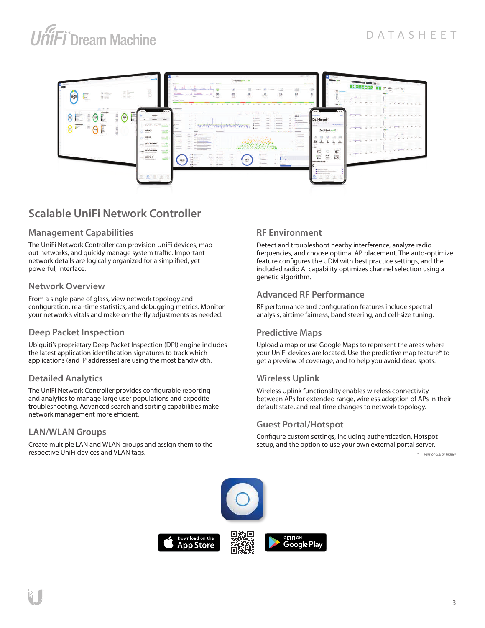

## **Scalable UniFi Network Controller**

#### **Management Capabilities**

The UniFi Network Controller can provision UniFi devices, map out networks, and quickly manage system traffic. Important network details are logically organized for a simplified, yet powerful, interface.

#### **Network Overview**

From a single pane of glass, view network topology and configuration, real-time statistics, and debugging metrics. Monitor your network's vitals and make on-the-fly adjustments as needed.

#### **Deep Packet Inspection**

Ubiquiti's proprietary Deep Packet Inspection (DPI) engine includes the latest application identification signatures to track which applications (and IP addresses) are using the most bandwidth.

#### **Detailed Analytics**

The UniFi Network Controller provides configurable reporting and analytics to manage large user populations and expedite troubleshooting. Advanced search and sorting capabilities make network management more efficient.

#### **LAN/WLAN Groups**

Create multiple LAN and WLAN groups and assign them to the respective UniFi devices and VLAN tags.

#### **RF Environment**

Detect and troubleshoot nearby interference, analyze radio frequencies, and choose optimal AP placement. The auto-optimize feature configures the UDM with best practice settings, and the included radio AI capability optimizes channel selection using a genetic algorithm.

#### **Advanced RF Performance**

RF performance and configuration features include spectral analysis, airtime fairness, band steering, and cell-size tuning.

#### **Predictive Maps**

Upload a map or use Google Maps to represent the areas where your UniFi devices are located. Use the predictive map feature\* to get a preview of coverage, and to help you avoid dead spots.

#### **Wireless Uplink**

Wireless Uplink functionality enables wireless connectivity between APs for extended range, wireless adoption of APs in their default state, and real-time changes to network topology.

#### **Guest Portal/Hotspot**

Configure custom settings, including authentication, Hotspot setup, and the option to use your own external portal server.

*\* version 5.6 or higher*

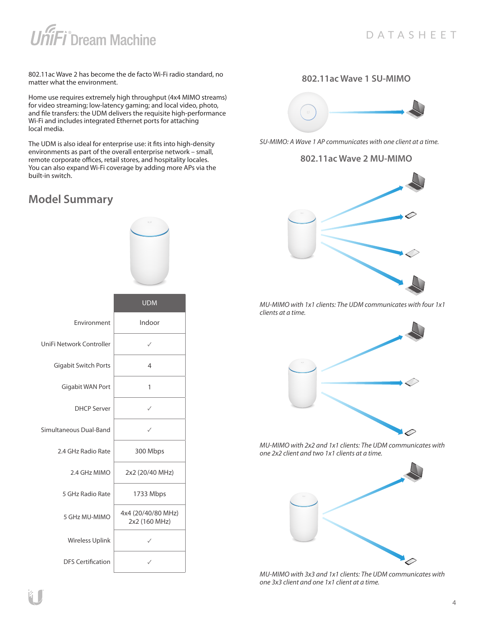802.11ac Wave 2 has become the de facto Wi-Fi radio standard, no matter what the environment.

Home use requires extremely high throughput (4x4 MIMO streams) for video streaming; low-latency gaming; and local video, photo, and file transfers: the UDM delivers the requisite high-performance Wi-Fi and includes integrated Ethernet ports for attaching local media.

The UDM is also ideal for enterprise use: it fits into high-density environments as part of the overall enterprise network – small, remote corporate offices, retail stores, and hospitality locales. You can also expand Wi-Fi coverage by adding more APs via the built‑in switch.

## **Model Summary**

|                             | <b>UDM</b>                          |
|-----------------------------|-------------------------------------|
| Environment                 | Indoor                              |
| UniFi Network Controller    | ✓                                   |
| <b>Gigabit Switch Ports</b> | 4                                   |
| Gigabit WAN Port            | 1                                   |
| <b>DHCP Server</b>          | ✓                                   |
| Simultaneous Dual-Band      | ✓                                   |
| 2.4 GHz Radio Rate          | 300 Mbps                            |
| 2.4 GHz MIMO                | 2x2 (20/40 MHz)                     |
| 5 GHz Radio Rate            | 1733 Mbps                           |
| 5 GHz MU-MIMO               | 4x4 (20/40/80 MHz)<br>2x2 (160 MHz) |
| Wireless Uplink             |                                     |
| <b>DFS Certification</b>    |                                     |

#### **802.11ac Wave 1 SU-MIMO**



*SU-MIMO: A Wave 1 AP communicates with one client at a time.*

#### **802.11ac Wave 2 MU-MIMO**



*MU-MIMO with 1x1 clients: The UDM communicates with four 1x1 clients at a time.*



*MU-MIMO with 2x2 and 1x1 clients: The UDM communicates with one 2x2 client and two 1x1 clients at a time.*



*MU-MIMO with 3x3 and 1x1 clients: The UDM communicates with one 3x3 client and one 1x1 client at a time.*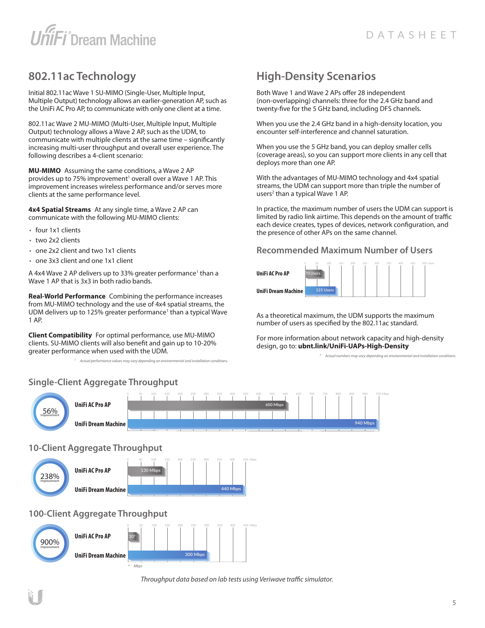## **802.11ac Technology**

Initial 802.11ac Wave 1 SU-MIMO (Single-User, Multiple Input, Multiple Output) technology allows an earlier‑generation AP, such as the UniFi AC Pro AP, to communicate with only one client at a time.

802.11ac Wave 2 MU‑MIMO (Multi-User, Multiple Input, Multiple Output) technology allows a Wave 2 AP, such as the UDM, to communicate with multiple clients at the same time – significantly increasing multi-user throughput and overall user experience. The following describes a 4-client scenario:

**MU-MIMO** Assuming the same conditions, a Wave 2 AP provides up to 75% improvement<sup>1</sup> overall over a Wave 1 AP. This improvement increases wireless performance and/or serves more clients at the same performance level.

**4x4 Spatial Streams** At any single time, a Wave 2 AP can communicate with the following MU-MIMO clients:

- four 1x1 clients
- two 2x2 clients
- one 2x2 client and two 1x1 clients
- one 3x3 client and one 1x1 client

A 4x4 Wave 2 AP delivers up to 33% greater performance<sup>1</sup> than a Wave 1 AP that is 3x3 in both radio bands.

**Real-World Performance** Combining the performance increases from MU-MIMO technology and the use of 4x4 spatial streams, the UDM delivers up to 125% greater performance<sup>1</sup> than a typical Wave 1 AP.

**Client Compatibility** For optimal performance, use MU‑MIMO clients. SU‑MIMO clients will also benefit and gain up to 10‑20% greater performance when used with the UDM.

*1 Actual performance values may vary depending on environmental and installation conditions.* 

*\* Mbps*

## **High-Density Scenarios**

Both Wave 1 and Wave 2 APs offer 28 independent (non‑overlapping) channels: three for the 2.4 GHz band and twenty-five for the 5 GHz band, including DFS channels.

When you use the 2.4 GHz band in a high-density location, you encounter self-interference and channel saturation.

When you use the 5 GHz band, you can deploy smaller cells (coverage areas), so you can support more clients in any cell that deploys more than one AP.

With the advantages of MU-MIMO technology and 4x4 spatial streams, the UDM can support more than triple the number of users<sup>2</sup> than a typical Wave 1 AP.

In practice, the maximum number of users the UDM can support is limited by radio link airtime. This depends on the amount of traffic each device creates, types of devices, network configuration, and the presence of other APs on the same channel.

#### **Recommended Maximum Number of Users**



As a theoretical maximum, the UDM supports the maximum number of users as specified by the 802.11ac standard.

For more information about network capacity and high-density design, go to: **[ubnt.link/UniFi-UAPs-High-Density](http://ubnt.link/UniFi-UAPs-High-Density)**

*2 Actual numbers may vary depending on environmental and installation conditions.*

#### **Single-Client Aggregate Throughput**



*Throughput data based on lab tests using Veriwave traffic simulator.*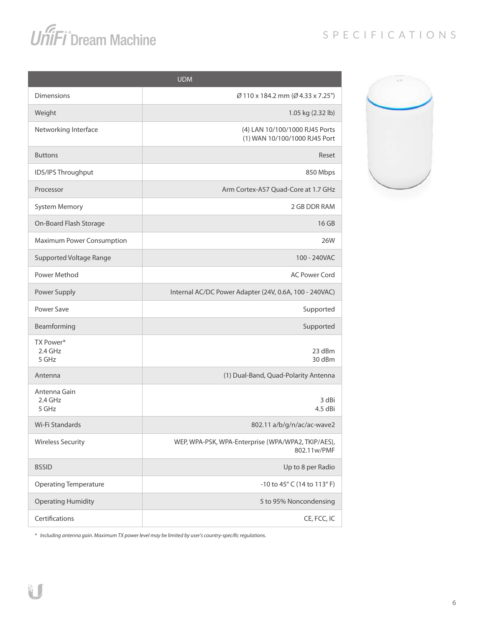## SPECIFICATIONS

# **UniFi**<sup>°</sup>Dream Machine



*\* Including antenna gain. Maximum TX power level may be limited by user's country-specific regulations.*